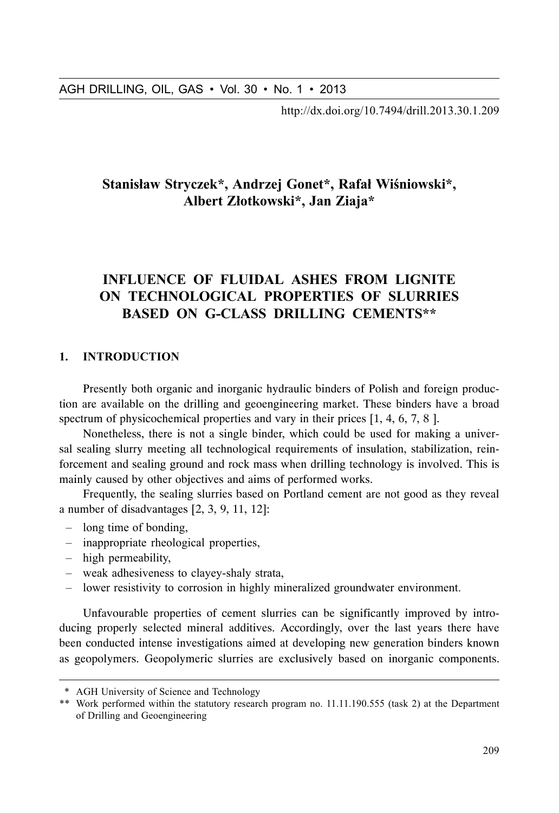209.http://dx.doi.org/10.7494/drill.2013.30.1

## Stanisław Stryczek\*, Andrzej Gonet\*, Rafał Wiśniowski\*, Albert Złotkowski\*, Jan Ziaja\*

# INFLUENCE OF FLUIDAL ASHES FROM LIGNITE ON TECHNOLOGICAL PROPERTIES OF SLURRIES BASED ON G-CLASS DRILLING CEMENTS\*\*

#### 1. INTRODUCTION

Presently both organic and inorganic hydraulic binders of Polish and foreign production are available on the drilling and geoengineering market. These binders have a broad spectrum of physicochemical properties and vary in their prices [1, 4, 6, 7, 8].

Nonetheless, there is not a single binder, which could be used for making a universal sealing slurry meeting all technological requirements of insulation, stabilization, reinforcement and sealing ground and rock mass when drilling technology is involved. This is mainly caused by other objectives and aims of performed works.

Frequently, the sealing slurries based on Portland cement are not good as they reveal a number of disadvantages [2, 3, 9, 11, 12]:

- $-$  long time of bonding,
- $-$  inappropriate rheological properties,
- $-$  high permeability,
- weak adhesiveness to clayey-shaly strata,
- lower resistivity to corrosion in highly mineralized groundwater environment.

Unfavourable properties of cement slurries can be significantly improved by introducing properly selected mineral additives. Accordingly, over the last years there have been conducted intense investigations aimed at developing new generation binders known as geopolymers. Geopolymeric slurries are exclusively based on inorganic components.

<sup>\*</sup> AGH University of Science and Technology

<sup>\*\*</sup> Work performed within the statutory research program no.  $11.11.190.555$  (task 2) at the Department of Drilling and Geoengineering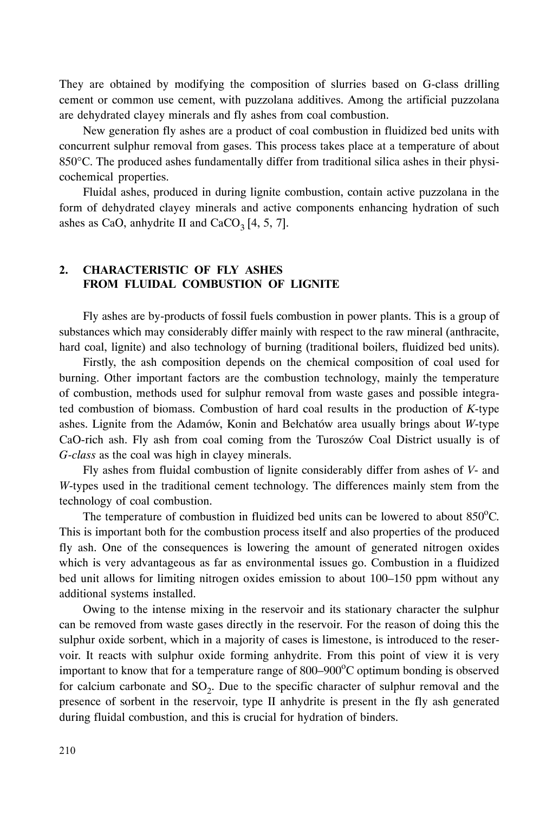They are obtained by modifying the composition of slurries based on G-class drilling cement or common use cement, with puzzolana additives. Among the artificial puzzolana are dehydrated clayey minerals and fly ashes from coal combustion.

New generation fly ashes are a product of coal combustion in fluidized bed units with concurrent sulphur removal from gases. This process takes place at a temperature of about 850°C. The produced ashes fundamentally differ from traditional silica ashes in their physicochemical properties.

Fluidal ashes, produced in during lignite combustion, contain active puzzolana in the form of dehydrated clayey minerals and active components enhancing hydration of such ashes as CaO, anhydrite II and  $CaCO<sub>3</sub>[4, 5, 7]$ .

### 2. CHARACTERISTIC OF FLY ASHES FROM FLUIDAL COMBUSTION OF LIGNITE

Fly ashes are by-products of fossil fuels combustion in power plants. This is a group of substances which may considerably differ mainly with respect to the raw mineral (anthracite, hard coal, lignite) and also technology of burning (traditional boilers, fluidized bed units).

Firstly, the ash composition depends on the chemical composition of coal used for burning. Other important factors are the combustion technology, mainly the temperature of combustion, methods used for sulphur removal from waste gases and possible integrated combustion of biomass. Combustion of hard coal results in the production of *K*-type ashes. Lignite from the Adamów, Konin and Bełchatów area usually brings about *W*-type CaO-rich ash. Fly ash from coal coming from the Turoszów Coal District usually is of *G-class* as the coal was high in clayey minerals.

Fly ashes from fluidal combustion of lignite considerably differ from ashes of *V*- and *W*-types used in the traditional cement technology. The differences mainly stem from the technology of coal combustion.

The temperature of combustion in fluidized bed units can be lowered to about  $850^{\circ}$ C. This is important both for the combustion process itself and also properties of the produced fly ash. One of the consequences is lowering the amount of generated nitrogen oxides which is very advantageous as far as environmental issues go. Combustion in a fluidized bed unit allows for limiting nitrogen oxides emission to about 100–150 ppm without any additional systems installed.

Owing to the intense mixing in the reservoir and its stationary character the sulphur can be removed from waste gases directly in the reservoir. For the reason of doing this the sulphur oxide sorbent, which in a majority of cases is limestone, is introduced to the reservoir. It reacts with sulphur oxide forming anhydrite. From this point of view it is very important to know that for a temperature range of 800–900°C optimum bonding is observed for calcium carbonate and  $SO<sub>2</sub>$ . Due to the specific character of sulphur removal and the presence of sorbent in the reservoir, type II anhydrite is present in the fly ash generated during fluidal combustion, and this is crucial for hydration of binders.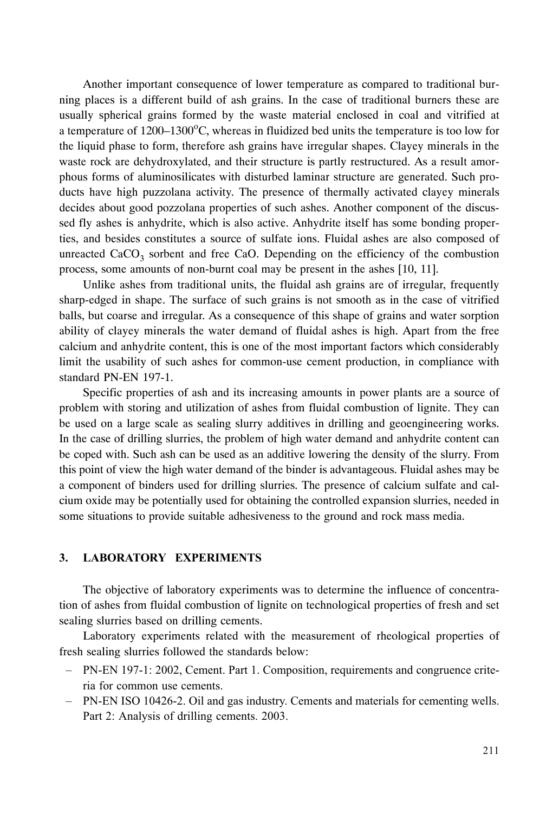Another important consequence of lower temperature as compared to traditional burning places is a different build of ash grains. In the case of traditional burners these are usually spherical grains formed by the waste material enclosed in coal and vitrified at a temperature of  $1200-1300^{\circ}$ C, whereas in fluidized bed units the temperature is too low for the liquid phase to form, therefore ash grains have irregular shapes. Clayey minerals in the waste rock are dehydroxylated, and their structure is partly restructured. As a result amorphous forms of aluminosilicates with disturbed laminar structure are generated. Such products have high puzzolana activity. The presence of thermally activated clayey minerals decides about good pozzolana properties of such ashes. Another component of the discussed fly ashes is anhydrite, which is also active. Anhydrite itself has some bonding properties, and besides constitutes a source of sulfate ions. Fluidal ashes are also composed of unreacted  $CaCO<sub>3</sub>$  sorbent and free CaO. Depending on the efficiency of the combustion process, some amounts of non-burnt coal may be present in the ashes [10, 11].

Unlike ashes from traditional units, the fluidal ash grains are of irregular, frequently sharp-edged in shape. The surface of such grains is not smooth as in the case of vitrified balls, but coarse and irregular. As a consequence of this shape of grains and water sorption ability of clayey minerals the water demand of fluidal ashes is high. Apart from the free calcium and anhydrite content, this is one of the most important factors which considerably limit the usability of such ashes for common-use cement production, in compliance with standard PN-EN 197-1.

Specific properties of ash and its increasing amounts in power plants are a source of problem with storing and utilization of ashes from fluidal combustion of lignite. They can be used on a large scale as sealing slurry additives in drilling and geoengineering works. In the case of drilling slurries, the problem of high water demand and anhydrite content can be coped with. Such ash can be used as an additive lowering the density of the slurry. From this point of view the high water demand of the binder is advantageous. Fluidal ashes may be a component of binders used for drilling slurries. The presence of calcium sulfate and calcium oxide may be potentially used for obtaining the controlled expansion slurries, needed in some situations to provide suitable adhesiveness to the ground and rock mass media.

#### 3. LABORATORY EXPERIMENTS

The objective of laboratory experiments was to determine the influence of concentration of ashes from fluidal combustion of lignite on technological properties of fresh and set sealing slurries based on drilling cements.

Laboratory experiments related with the measurement of rheological properties of fresh sealing slurries followed the standards below:

- PN-EN 197-1: 2002, Cement. Part 1. Composition, requirements and congruence criteria for common use cements.
- PN-EN ISO 10426-2. Oil and gas industry. Cements and materials for cementing wells. Part 2: Analysis of drilling cements. 2003.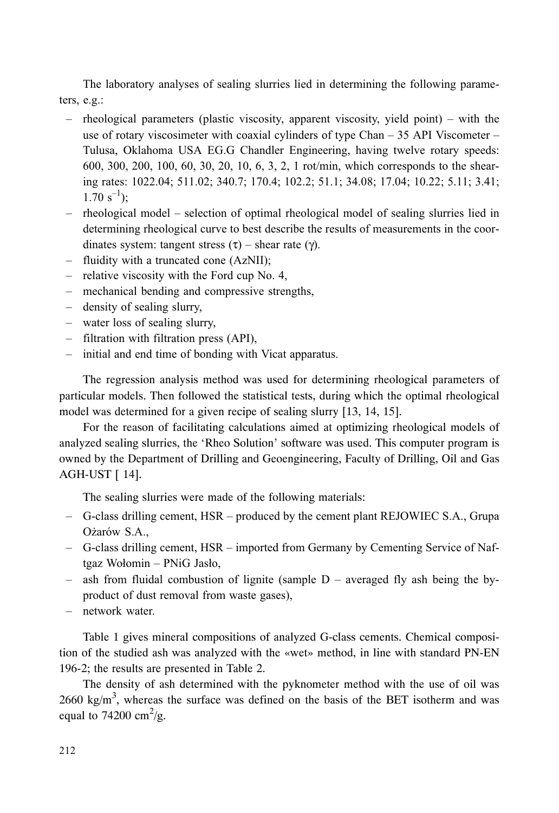The laboratory analyses of sealing slurries lied in determining the following parameters,  $e.g.$ :

- rheological parameters (plastic viscosity, apparent viscosity, yield point) with the use of rotary viscosimeter with coaxial cylinders of type Chan  $-35$  API Viscometer  $-$ Tulusa, Oklahoma USA EG.G Chandler Engineering, having twelve rotary speeds: 600, 300, 200, 100, 60, 30, 20, 10, 6, 3, 2, 1 rot/min, which corresponds to the shearing rates: 1022.04: 511.02: 340.7: 170.4: 102.2: 51.1: 34.08: 17.04: 10.22: 5.11: 3.41:  $1.70 s^{-1}$ :
- rheological model selection of optimal rheological model of sealing slurries lied in determining rheological curve to best describe the results of measurements in the coordinates system: tangent stress  $(\tau)$  – shear rate  $(\gamma)$ .
- fluidity with a truncated cone (AzNII);
- $-$  relative viscosity with the Ford cup No. 4,
- mechanical bending and compressive strengths,
- density of sealing slurry,
- water loss of sealing slurry,
- filtration with filtration press (API),
- initial and end time of bonding with Vicat apparatus.

The regression analysis method was used for determining rheological parameters of particular models. Then followed the statistical tests, during which the optimal rheological model was determined for a given recipe of sealing slurry [13, 14, 15].

For the reason of facilitating calculations aimed at optimizing rheological models of analyzed sealing slurries, the 'Rheo Solution' software was used. This computer program is owned by the Department of Drilling and Geoengineering, Faculty of Drilling, Oil and Gas AGH-UST [ 14].

The sealing slurries were made of the following materials:

- G-class drilling cement, HSR produced by the cement plant REJOWIEC S.A., Grupa Ożarów S.A.,
- G-class drilling cement, HSR imported from Germany by Cementing Service of Naftgaz Wołomin – PNiG Jasło,
- ash from fluidal combustion of lignite (sample  $D$  averaged fly ash being the byproduct of dust removal from waste gases),
- network water.

Table 1 gives mineral compositions of analyzed G-class cements. Chemical composition of the studied ash was analyzed with the «wet» method, in line with standard PN-EN 196-2; the results are presented in Table 2.

The density of ash determined with the pyknometer method with the use of oil was  $2660 \text{ kg/m}^3$ , whereas the surface was defined on the basis of the BET isotherm and was equal to 74200 cm<sup>2</sup>/g.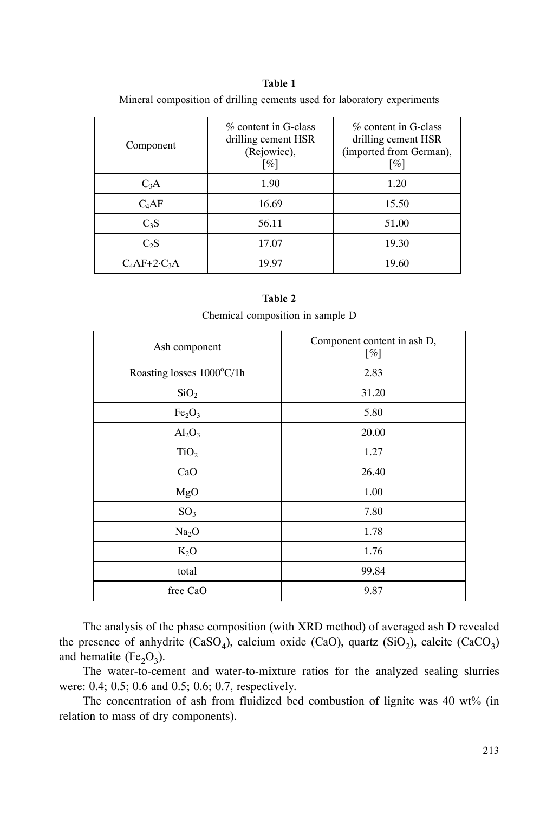#### Table 1

| Component           | % content in G-class<br>drilling cement HSR<br>(Rejowiec),<br>[%] | % content in G-class<br>drilling cement HSR<br>(imported from German),<br>$\lceil\% \rceil$ |
|---------------------|-------------------------------------------------------------------|---------------------------------------------------------------------------------------------|
| $C_3A$              | 1.90                                                              | 1.20                                                                                        |
| $C_4AF$             | 16.69                                                             | 15.50                                                                                       |
| $C_3S$              | 56.11                                                             | 51.00                                                                                       |
| C <sub>2</sub> S    | 17.07                                                             | 19.30                                                                                       |
| $C_4AF+2\cdot C_3A$ | 19.97                                                             | 19.60                                                                                       |

Mineral composition of drilling cements used for laboratory experiments

| Chemical composition in sample D |                                       |  |  |  |  |
|----------------------------------|---------------------------------------|--|--|--|--|
| Ash component                    | Component content in ash D,<br>$[\%]$ |  |  |  |  |
| Roasting losses 1000°C/1h        | 2.83                                  |  |  |  |  |
| SiO <sub>2</sub>                 | 31.20                                 |  |  |  |  |
| Fe <sub>2</sub> O <sub>3</sub>   | 5.80                                  |  |  |  |  |
| Al <sub>2</sub> O <sub>3</sub>   | 20.00<br>1.27                         |  |  |  |  |
| TiO <sub>2</sub>                 |                                       |  |  |  |  |
| CaO                              | 26.40                                 |  |  |  |  |
| MgO                              | 1.00                                  |  |  |  |  |
| SO <sub>3</sub>                  | 7.80                                  |  |  |  |  |
| Na <sub>2</sub> O                | 1.78                                  |  |  |  |  |
| $K_2O$                           | 1.76                                  |  |  |  |  |
| total                            | 99.84                                 |  |  |  |  |
| free CaO                         | 9.87                                  |  |  |  |  |

Table 2

The analysis of the phase composition (with XRD method) of averaged ash D revealed the presence of anhydrite  $(CaSO_4)$ , calcium oxide  $(CaO)$ , quartz  $(SiO_2)$ , calcite  $(CaCO_3)$ and hematite (Fe<sub>2</sub>O<sub>3</sub>).

The water-to-cement and water-to-mixture ratios for the analyzed sealing slurries were: 0.4; 0.5; 0.6 and 0.5; 0.6; 0.7, respectively.

The concentration of ash from fluidized bed combustion of lignite was 40 wt% (in relation to mass of dry components).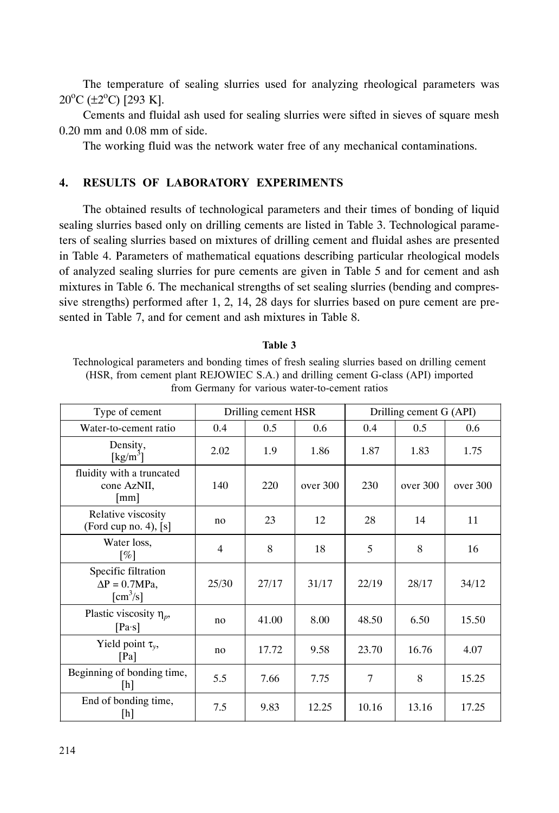The temperature of sealing slurries used for analyzing rheological parameters was 20<sup>o</sup>C (±2<sup>o</sup>C) [293 K].

Cements and fluidal ash used for sealing slurries were sifted in sieves of square mesh 0.20 mm and 0.08 mm of side.

The working fluid was the network water free of any mechanical contaminations.

### 4. RESULTS OF LABORATORY EXPERIMENTS

The obtained results of technological parameters and their times of bonding of liquid sealing slurries based only on drilling cements are listed in Table 3. Technological parameters of sealing slurries based on mixtures of drilling cement and fluidal ashes are presented in Table 4. Parameters of mathematical equations describing particular rheological models of analyzed sealing slurries for pure cements are given in Table 5 and for cement and ash mixtures in Table 6. The mechanical strengths of set sealing slurries (bending and compressive strengths) performed after 1, 2, 14, 28 days for slurries based on pure cement are presented in Table 7, and for cement and ash mixtures in Table 8.

| Technological parameters and bonding times of fresh sealing slurries based on drilling cement |
|-----------------------------------------------------------------------------------------------|
| (HSR, from cement plant REJOWIEC S.A.) and drilling cement G-class (API) imported             |
| from Germany for various water-to-cement ratios                                               |

| Type of cement                                                            |       | Drilling cement HSR |          |       | Drilling cement G (API) |          |  |
|---------------------------------------------------------------------------|-------|---------------------|----------|-------|-------------------------|----------|--|
| Water-to-cement ratio                                                     | 0.4   | 0.5                 | 0.6      | 0.4   | $0.5^{\circ}$           | 0.6      |  |
| Density,<br>[kg/m <sup>3</sup> ]                                          | 2.02  | 1.9                 | 1.86     | 1.87  | 1.83                    | 1.75     |  |
| fluidity with a truncated<br>cone AzNII,<br>$\lfloor mm \rfloor$          | 140   | 220                 | over 300 | 230   | over 300                | over 300 |  |
| Relative viscosity<br>(Ford cup no. 4), $[s]$                             | no    | 23                  | 12       | 28    | 14                      | 11       |  |
| Water loss,<br>[%]                                                        | 4     | 8                   | 18       | 5     | 8                       | 16       |  |
| Specific filtration<br>$\Delta P = 0.7 MPa$ ,<br>$\text{[cm}^3/\text{s}]$ | 25/30 | 27/17               | 31/17    | 22/19 | 28/17                   | 34/12    |  |
| Plastic viscosity $\eta_p$ ,<br>$[Pa\cdot s]$                             | no    | 41.00               | 8.00     | 48.50 | 6.50                    | 15.50    |  |
| Yield point $\tau_{v}$ ,<br>[Pa]                                          | no    | 17.72               | 9.58     | 23.70 | 16.76                   | 4.07     |  |
| Beginning of bonding time,<br>[h]                                         | 5.5   | 7.66                | 7.75     | 7     | 8                       | 15.25    |  |
| End of bonding time,<br>[h]                                               | 7.5   | 9.83                | 12.25    | 10.16 | 13.16                   | 17.25    |  |

#### Table 3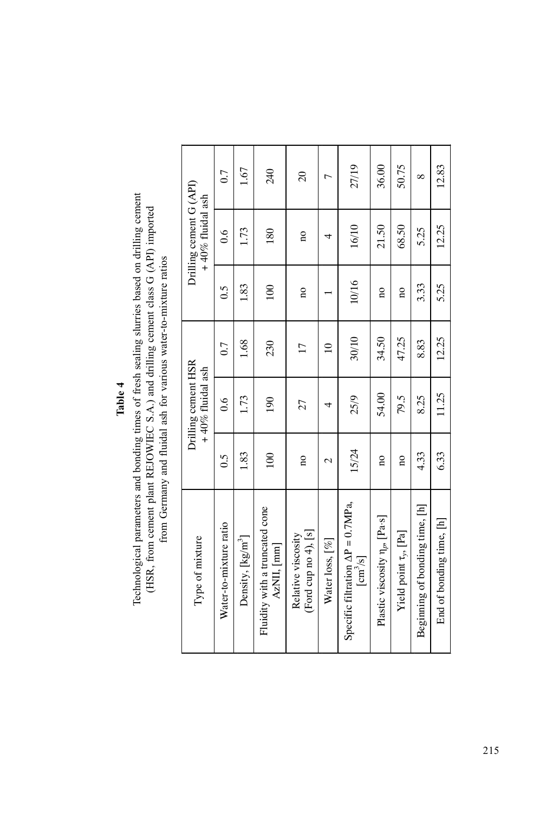Table 4

Technological parameters and bonding times of fresh sealing slurries based on drilling cement (HSR, from cement plant REJOWIEC S.A.) and drilling cement class G (API) imported Technological parameters and bonding times of fresh sealing slurries based on drilling cement (HSR, from cement plant REJOWIEC S.A.) and drilling cement class G (API) imported from Germany and fluidal ash for various water-to-mixture ratios from Germany and fluidal ash for various water-to-mixture ratios

|                                                | 0.7                    | 1.67                          | 240                                                | $\overline{c}$                               | $\overline{ }$  | 27/19                                                                            | 36.00                                     | 50.75                         | $\infty$                       | 12.83                    |
|------------------------------------------------|------------------------|-------------------------------|----------------------------------------------------|----------------------------------------------|-----------------|----------------------------------------------------------------------------------|-------------------------------------------|-------------------------------|--------------------------------|--------------------------|
| Drilling cement G (API)<br>$+40\%$ fluidal ash | $\frac{6}{1}$          | 1.73                          | 180                                                | $\overline{\mathbf{a}}$                      | 4               | 16/10                                                                            | 21.50                                     | 68.50                         | 5.25                           | 12.25                    |
|                                                | $\overline{0.5}$       | 1.83                          | 100                                                | $\overline{\mathbf{a}}$                      |                 | 10/16                                                                            | $\overline{\mathbf{n}}$                   | $\overline{\mathbf{a}}$       | 3.33                           | 5.25                     |
|                                                | 0.7                    | 1.68                          | 230                                                | 17                                           | $\overline{a}$  | 30/10                                                                            | 34.50                                     | 47.25                         | 8.83                           | 12.25                    |
| Drilling cement HSR<br>$+40\%$ fluidal ash     | 0.6                    | 1.73                          | 190                                                | 27                                           | 4               | 25/9                                                                             | 54.00                                     | 79.5                          | 8.25                           | 11.25                    |
|                                                | C.O                    | 1.83                          | 100                                                | $\overline{\mathbf{a}}$                      | $\mathcal{L}$   | 15/24                                                                            | $\overline{\mathbf{a}}$                   | $\overline{\mathbf{a}}$       | 4.33                           | 6.33                     |
| Type of mixture                                | Water-to-mixture ratio | Density, [kg/m <sup>3</sup> ] | Fluidity with a truncated cone<br>$AzNII$ , $[mm]$ | Ford cup no $4$ ), [s]<br>Relative viscosity | Water loss, [%] | Specific filtration $\Delta P = 0.7MPa$ ,<br>$\left[\text{cm}^3/\text{s}\right]$ | Plastic viscosity n <sub>p</sub> , [Pa·s] | Yield point $\tau_{y}$ , [Pa] | Beginning of bonding time, [h] | End of bonding time, [h] |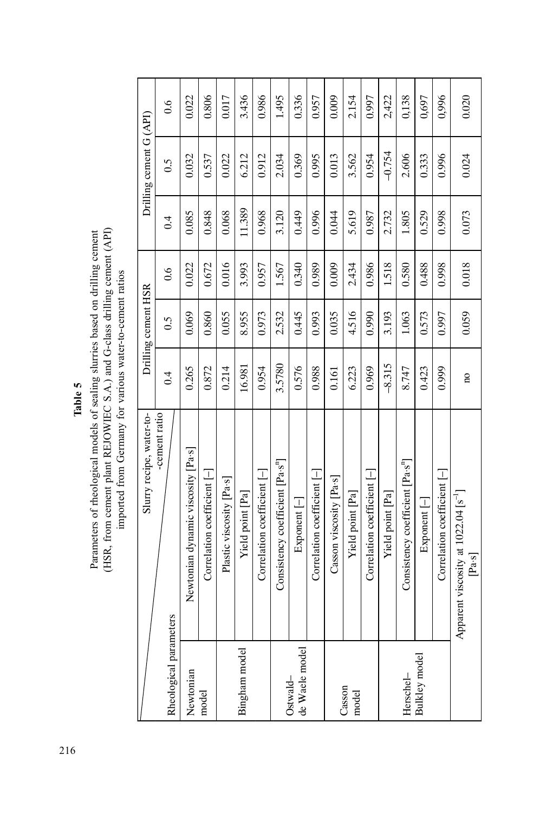Parameters of rheological models of sealing slurries based on drilling cement (HSR, from cement plant REJOWIEC S.A.) and G-class drilling cement (API) imported from Germany for various water-to-cement ratios (HSR, from cement plant REJOWIEC S.A.) and G-class drilling cement  $(AP)$ Parameters of rheological models of sealing slurries based on drilling cement

Table 5

imported from Germany for various water-to-cement ratios

|                            | Slurry recipe, water-to-                                 |                         | Drilling cement HSR |       |        | Drilling cement G (API) |               |
|----------------------------|----------------------------------------------------------|-------------------------|---------------------|-------|--------|-------------------------|---------------|
| Rheological parameters     | cement ratio                                             | 0.4                     | $\ddot{0}$ .        | 0.6   | 0.4    | 0.5                     | $\frac{6}{1}$ |
| Newtonian                  | Newtonian dynamic viscosity [Pa·s]                       | 0.265                   | 0.069               | 0.022 | 0.085  | 0.032                   | 0.022         |
| model                      | Correlation coefficient $\left  - \right $               | 0.872                   | 0.860               | 0.672 | 0.848  | 0.537                   | 0.806         |
|                            | Plastic viscosity [Pa·s]                                 | 0.214                   | 0.055               | 0.016 | 0.068  | 0.022                   | 0.017         |
| Bingham model              | Yield point [Pa]                                         | 16.981                  | 8.955               | 3.993 | 11.389 | 6.212                   | 3.436         |
|                            | Correlation coefficient [-                               | 0.954                   | 0.973               | 0.957 | 0.968  | 0.912                   | 0.986         |
|                            | Consistency coefficient [Pa·s <sup>n</sup> ]             | 3.5780                  | 2.532               | 1.567 | 3.120  | 2.034                   | 1.495         |
| de Waele model<br>Ostwald- | $Expoment$ $[-]$                                         | 0.576                   | 0.445               | 0.340 | 0.449  | 0.369                   | 0.336         |
|                            | Correlation coefficient [-                               | 0.988                   | 0.993               | 0.989 | 0.996  | 0.995                   | 0.957         |
|                            | Casson viscosity [Pa·s]                                  | 0.161                   | 0.035               | 0.009 | 0.044  | 0.013                   | 0.009         |
| Casson<br>model            | Yield point [Pa]                                         | 6.223                   | 4.516               | 2.434 | 5.619  | 3.562                   | 2.154         |
|                            | Correlation coefficient [-                               | 0.969                   | 0.990               | 0.986 | 0.987  | 0.954                   | 0.997         |
|                            | Yield point [Pa]                                         | $-8.315$                | 3.193               | 1.518 | 2.732  | $-0.754$                | 2,422         |
| Herschel-                  | Consistency coefficient [Pa·s <sup>n</sup> ]             | 8.747                   | 1.063               | 0.580 | 1.805  | 2.606                   | 0,138         |
| Bulkley model              | $Exponent$ $[-]$                                         | 0.423                   | 0.573               | 0.488 | 0.529  | 0.333                   | 0,697         |
|                            | Correlation coefficient $\vdash$                         | 0.999                   | 0.997               | 0.998 | 0.998  | 0.996                   | 0,996         |
|                            | Apparent viscosity at 1022.04 [s <sup>-1</sup> ]<br>Pa·s | $\overline{\mathbf{a}}$ | 0.059               | 0.018 | 0.073  | 0.024                   | 0.020         |

216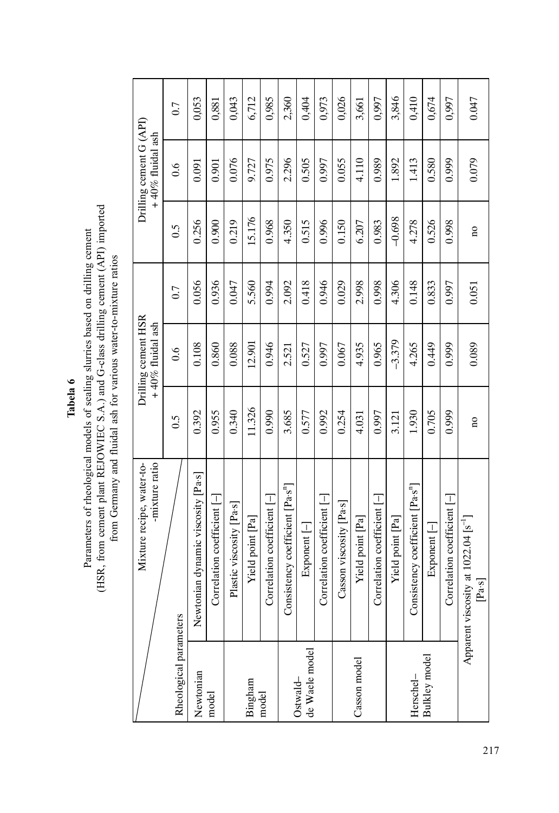Tabela 6

# Parameters of rheological models of sealing slurries based on drilling cement (HSR, from cement plant REJOWIEC S.A.) and G-class drilling cement (API) imported (HSR, from cement plant REJOWIEC S.A.) and G-class drilling cement (API) imported Parameters of rheological models of sealing slurries based on drilling cement from Germany and fluidal ash for various water-to-mixture ratios from Germany and fluidal ash for various water-to-mixture ratios

|                            | Mixture recipe, water-to-<br>-mixture ratio                |                         | Drilling cement HSR<br>$+40\%$ fluidal ash |       |                         | Drilling cement G (API)<br>$+40\%$ fluidal ash |       |
|----------------------------|------------------------------------------------------------|-------------------------|--------------------------------------------|-------|-------------------------|------------------------------------------------|-------|
| Rheological parameters     |                                                            | 0.5                     | 0.6                                        | 0.7   | $\tilde{c}$             | 0.6                                            | 0.7   |
| Newtonian                  | Newtonian dynamic viscosity [Pa·s]                         | 0.392                   | 0.108                                      | 0.056 | 0.256                   | 0.091                                          | 0,053 |
| model                      | Correlation coefficient [-]                                | 0.955                   | 0.860                                      | 0.936 | 0.900                   | 0.901                                          | 0,881 |
|                            | Plastic viscosity [Pa·s]                                   | 0.340                   | 0.088                                      | 0.047 | 0.219                   | 0.076                                          | 0,043 |
| Bingham                    | Yield point [Pa]                                           | 11.326                  | 12.901                                     | 5.560 | 15.176                  | 9.727                                          | 6,712 |
| model                      | Correlation coefficient [-]                                | 0.990                   | 0.946                                      | 0.994 | 0.968                   | 0.975                                          | 0,985 |
|                            | Consistency coefficient [Pa·s <sup>n</sup> ]               | 3.685                   | 2.521                                      | 2.092 | 4.350                   | 2.296                                          | 2,360 |
| de Waele model<br>Ostwald- | $Exponent$ $[-]$                                           | 0.577                   | 0.527                                      | 0.418 | 0.515                   | 0.505                                          | 0,404 |
|                            | Correlation coefficient [-]                                | 0.992                   | 0.997                                      | 0.946 | 0.996                   | 0.997                                          | 0,973 |
|                            | Casson viscosity [Pa·s]                                    | 0.254                   | 0.067                                      | 0.029 | 0.150                   | 0.055                                          | 0,026 |
| Casson model               | Yield point [Pa]                                           | 4.031                   | 4.935                                      | 2.998 | 6.207                   | 4.110                                          | 3,661 |
|                            | Correlation coefficient [-                                 | 0.997                   | 0.965                                      | 0.998 | 0.983                   | 0.989                                          | 0,997 |
|                            | Yield point [Pa]                                           | 3.121                   | $-3.379$                                   | 4.306 | $-0.698$                | 1.892                                          | 3,846 |
| Herschel-                  | Consistency coefficient [Pa·s <sup>n</sup> ]               | 1.930                   | 4.265                                      | 0.148 | 4.278                   | 1.413                                          | 0,410 |
| Bulkley model              | $Exponent$ $[-]$                                           | 0.705                   | 0.449                                      | 0.833 | 0.526                   | 0.580                                          | 0,674 |
|                            | Correlation coefficient [-                                 | 0.999                   | 0.999                                      | 0.997 | 0.998                   | 0.999                                          | 0,997 |
|                            | Apparent viscosity at 1022.04 [s <sup>-1</sup> ]<br>[Pa·s] | $\overline{\mathbf{a}}$ | 0.089                                      | 0.051 | $\overline{\mathbf{a}}$ | 0.079                                          | 0.047 |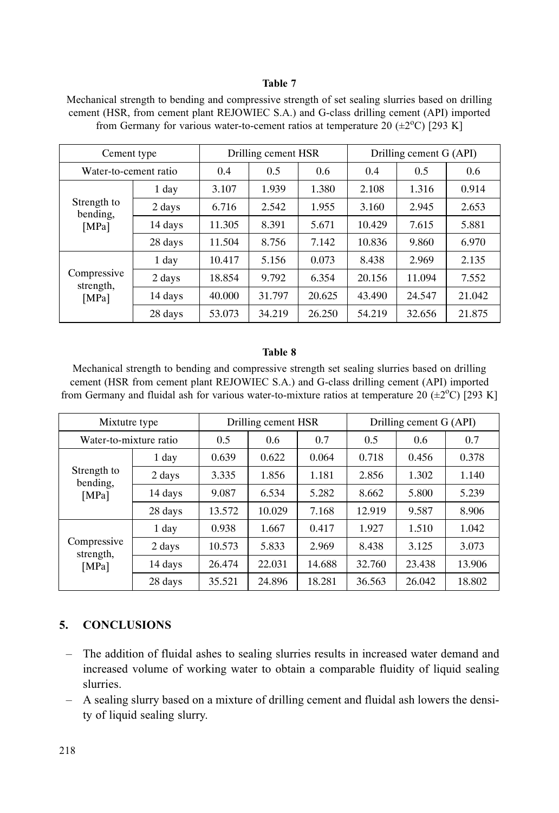### Table 7

Mechanical strength to bending and compressive strength of set sealing slurries based on drilling cement (HSR, from cement plant REJOWIEC S.A.) and G-class drilling cement (API) imported from Germany for various water-to-cement ratios at temperature 20  $(\pm 2^{\circ}C)$  [293 K]

| Cement type                      |         |        | Drilling cement HSR |        | Drilling cement G (API) |        |        |  |
|----------------------------------|---------|--------|---------------------|--------|-------------------------|--------|--------|--|
| Water-to-cement ratio            |         | 0.4    | 0.5                 | 0.6    | 0.4                     | 0.5    | 0.6    |  |
| Strength to<br>bending,<br>[MPa] | 1 day   | 3.107  | 1.939               | 1.380  | 2.108                   | 1.316  | 0.914  |  |
|                                  | 2 days  | 6.716  | 2.542               | 1.955  | 3.160                   | 2.945  | 2.653  |  |
|                                  | 14 days | 11.305 | 8.391               | 5.671  | 10.429                  | 7.615  | 5.881  |  |
|                                  | 28 days | 11.504 | 8.756               | 7.142  | 10.836                  | 9.860  | 6.970  |  |
| Compressive<br>strength,         | 1 day   | 10.417 | 5.156               | 0.073  | 8.438                   | 2.969  | 2.135  |  |
|                                  | 2 days  | 18.854 | 9.792               | 6.354  | 20.156                  | 11.094 | 7.552  |  |
| [MPa]                            | 14 days | 40.000 | 31.797              | 20.625 | 43.490                  | 24.547 | 21.042 |  |
|                                  | 28 days | 53.073 | 34.219              | 26.250 | 54.219                  | 32.656 | 21.875 |  |

#### Table 8

Mechanical strength to bending and compressive strength set sealing slurries based on drilling cement (HSR from cement plant REJOWIEC S.A.) and G-class drilling cement (API) imported from Germany and fluidal ash for various water-to-mixture ratios at temperature 20  $(\pm 2^{\circ}C)$  [293 K]

| Mixtutre type                    |         |        | Drilling cement HSR |        | Drilling cement G (API) |        |        |  |
|----------------------------------|---------|--------|---------------------|--------|-------------------------|--------|--------|--|
| Water-to-mixture ratio           |         | 0.5    | 0.6                 | 0.7    | 0.5                     | 0.6    | 0.7    |  |
| Strength to<br>bending,<br>[MPa] | 1 day   | 0.639  | 0.622               | 0.064  | 0.718                   | 0.456  | 0.378  |  |
|                                  | 2 days  | 3.335  | 1.856               | 1.181  | 2.856                   | 1.302  | 1.140  |  |
|                                  | 14 days | 9.087  | 6.534               | 5.282  | 8.662                   | 5.800  | 5.239  |  |
|                                  | 28 days | 13.572 | 10.029              | 7.168  | 12.919                  | 9.587  | 8.906  |  |
| Compressive<br>strength,         | 1 day   | 0.938  | 1.667               | 0.417  | 1.927                   | 1.510  | 1.042  |  |
|                                  | 2 days  | 10.573 | 5.833               | 2.969  | 8.438                   | 3.125  | 3.073  |  |
| [MPa]                            | 14 days | 26.474 | 22.031              | 14.688 | 32.760                  | 23.438 | 13.906 |  |
|                                  | 28 days | 35.521 | 24.896              | 18.281 | 36.563                  | 26.042 | 18.802 |  |

## 5. CONCLUSIONS

- The addition of fluidal ashes to sealing slurries results in increased water demand and increased volume of working water to obtain a comparable fluidity of liquid sealing slurries.
- A sealing slurry based on a mixture of drilling cement and fluidal ash lowers the density of liquid sealing slurry.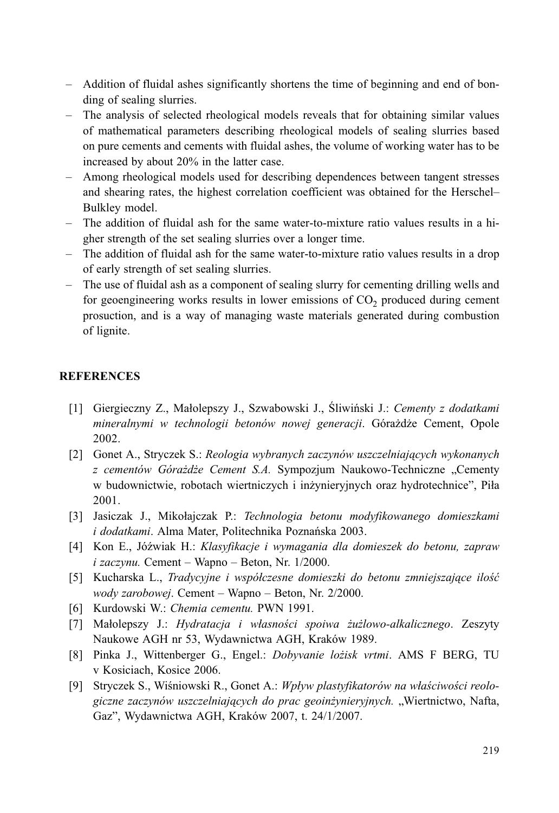- Addition of fluidal ashes significantly shortens the time of beginning and end of bonding of sealing slurries.
- The analysis of selected rheological models reveals that for obtaining similar values of mathematical parameters describing rheological models of sealing slurries based on pure cements and cements with fluidal ashes, the volume of working water has to be increased by about 20% in the latter case.
- Among rheological models used for describing dependences between tangent stresses and shearing rates, the highest correlation coefficient was obtained for the Herschel-Bulkley model.
- $-$  The addition of fluidal ash for the same water-to-mixture ratio values results in a higher strength of the set sealing slurries over a longer time.
- The addition of fluidal ash for the same water-to-mixture ratio values results in a drop of early strength of set sealing slurries.
- The use of fluidal ash as a component of sealing slurry for cementing drilling wells and for geoengineering works results in lower emissions of  $CO<sub>2</sub>$  produced during cement prosuction, and is a way of managing waste materials generated during combustion of lignite.

### **REFERENCES**

- [1] Giergieczny Z., Małolepszy J., Szwabowski J., Śliwiński J.; Cementy z dodatkami mineralnymi w technologii betonów nowej generacji. Górażdże Cement, Opole 2002.
- [2] Gonet A., Stryczek S.: Reologia wybranych zaczynów uszczelniających wykonanych z cementów Górażdże Cement S.A. Sympozjum Naukowo-Techniczne "Cementy w budownictwie, robotach wiertniczych i inżynieryjnych oraz hydrotechnice", Piła 2001.
- [3] Jasiczak J., Mikołajczak P.: Technologia betonu modyfikowanego domieszkami i dodatkami. Alma Mater, Politechnika Poznańska 2003.
- [4] Kon E., Jóźwiak H.: Klasyfikacje i wymagania dla domieszek do betonu, zapraw  $i$  zaczynu. Cement – Wapno – Beton, Nr. 1/2000.
- [5] Kucharska L., Tradycyjne i współczesne domieszki do betonu zmniejszające ilość wody zarobowej. Cement – Wapno – Beton, Nr. 2/2000.
- [6] Kurdowski W.: Chemia cementu. PWN 1991.
- [7] Małolepszy J.: Hydratacja i własności spojwa żużlowo-alkalicznego. Zeszyty Naukowe AGH nr 53, Wydawnictwa AGH, Kraków 1989.
- [8] Pinka J., Wittenberger G., Engel.: Dobyvanie lożisk vrtmi. AMS F BERG, TU v Kosiciach, Kosice 2006.
- [9] Stryczek S., Wiśniowski R., Gonet A.: Wpływ plastyfikatorów na właściwości reologiczne zaczynów uszczelniających do prac geoinżynieryjnych. "Wiertnictwo, Nafta, Gaz", Wydawnictwa AGH, Kraków 2007, t. 24/1/2007.